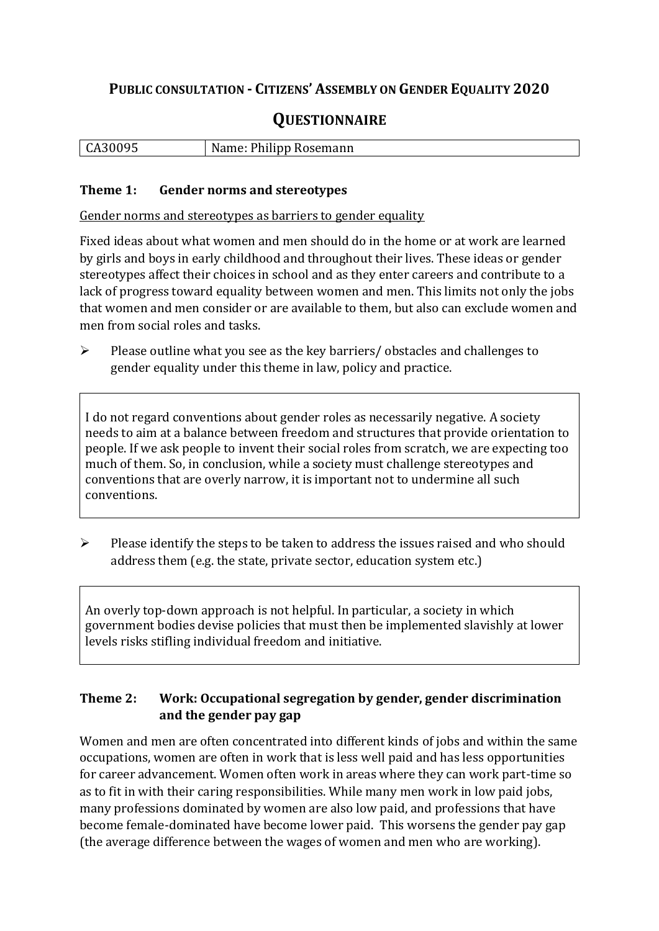## **PUBLIC CONSULTATION - CITIZENS' ASSEMBLY ON GENDER EQUALITY 2020**

# **QUESTIONNAIRE**

|  | CA30095 | Name: Philipp Rosemann |
|--|---------|------------------------|
|--|---------|------------------------|

#### **Theme 1: Gender norms and stereotypes**

Gender norms and stereotypes as barriers to gender equality

Fixed ideas about what women and men should do in the home or at work are learned by girls and boys in early childhood and throughout their lives. These ideas or gender stereotypes affect their choices in school and as they enter careers and contribute to a lack of progress toward equality between women and men. This limits not only the jobs that women and men consider or are available to them, but also can exclude women and men from social roles and tasks.

➢ Please outline what you see as the key barriers/ obstacles and challenges to gender equality under this theme in law, policy and practice.

I do not regard conventions about gender roles as necessarily negative. A society needs to aim at a balance between freedom and structures that provide orientation to people. If we ask people to invent their social roles from scratch, we are expecting too much of them. So, in conclusion, while a society must challenge stereotypes and conventions that are overly narrow, it is important not to undermine all such conventions.

 $\triangleright$  Please identify the steps to be taken to address the issues raised and who should address them (e.g. the state, private sector, education system etc.)

An overly top-down approach is not helpful. In particular, a society in which government bodies devise policies that must then be implemented slavishly at lower levels risks stifling individual freedom and initiative.

### **Theme 2: Work: Occupational segregation by gender, gender discrimination and the gender pay gap**

Women and men are often concentrated into different kinds of jobs and within the same occupations, women are often in work that is less well paid and has less opportunities for career advancement. Women often work in areas where they can work part-time so as to fit in with their caring responsibilities. While many men work in low paid jobs, many professions dominated by women are also low paid, and professions that have become female-dominated have become lower paid. This worsens the gender pay gap (the average difference between the wages of women and men who are working).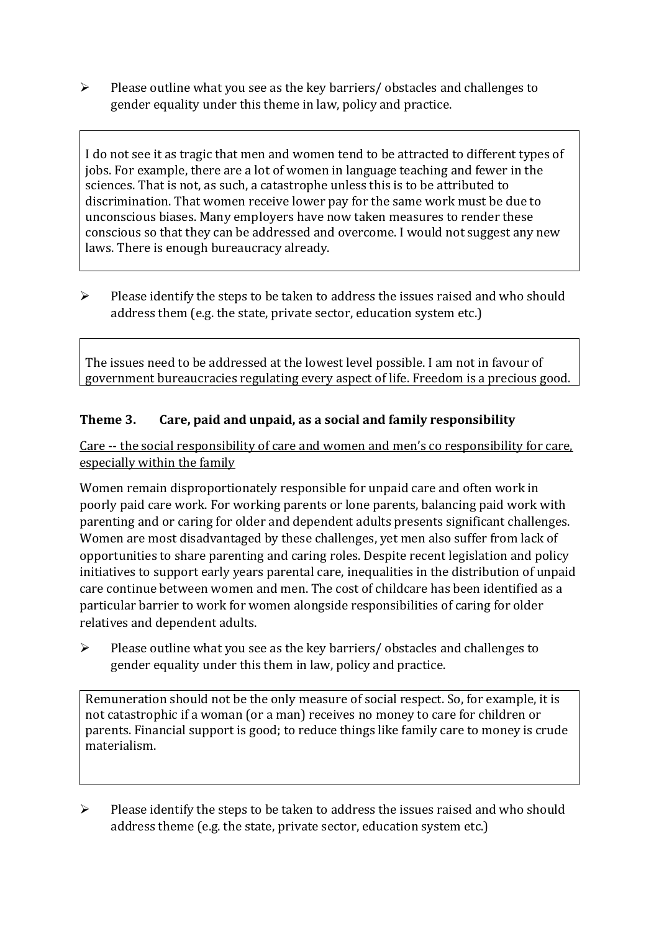➢ Please outline what you see as the key barriers/ obstacles and challenges to gender equality under this theme in law, policy and practice.

I do not see it as tragic that men and women tend to be attracted to different types of jobs. For example, there are a lot of women in language teaching and fewer in the sciences. That is not, as such, a catastrophe unless this is to be attributed to discrimination. That women receive lower pay for the same work must be due to unconscious biases. Many employers have now taken measures to render these conscious so that they can be addressed and overcome. I would not suggest any new laws. There is enough bureaucracy already.

➢ Please identify the steps to be taken to address the issues raised and who should address them (e.g. the state, private sector, education system etc.)

The issues need to be addressed at the lowest level possible. I am not in favour of government bureaucracies regulating every aspect of life. Freedom is a precious good.

### **Theme 3. Care, paid and unpaid, as a social and family responsibility**

Care -- the social responsibility of care and women and men's co responsibility for care, especially within the family

Women remain disproportionately responsible for unpaid care and often work in poorly paid care work. For working parents or [lone parents,](https://aran.library.nuigalway.ie/bitstream/handle/10379/6044/Millar_and_Crosse_Activation_Report.pdf?sequence=1&isAllowed=y) balancing paid work with parenting and or caring for older and dependent adults presents significant challenges. Women are [most disadvantaged by these challenges,](https://eige.europa.eu/gender-equality-index/game/IE/W) yet men also suffer from lack of opportunities to share parenting and caring roles. Despite recent legislation and policy initiatives to support early years parental care, [inequalities in the distribution of unpaid](https://www.ihrec.ie/app/uploads/2019/07/Caring-and-Unpaid-Work-in-Ireland_Final.pdf)  [care](https://www.ihrec.ie/app/uploads/2019/07/Caring-and-Unpaid-Work-in-Ireland_Final.pdf) continue between women and men. The cost of childcare has been identified as a particular barrier to work for women alongside responsibilities of caring for older relatives and dependent adults.

➢ Please outline what you see as the key barriers/ obstacles and challenges to gender equality under this them in law, policy and practice.

Remuneration should not be the only measure of social respect. So, for example, it is not catastrophic if a woman (or a man) receives no money to care for children or parents. Financial support is good; to reduce things like family care to money is crude materialism.

 $\triangleright$  Please identify the steps to be taken to address the issues raised and who should address theme (e.g. the state, private sector, education system etc.)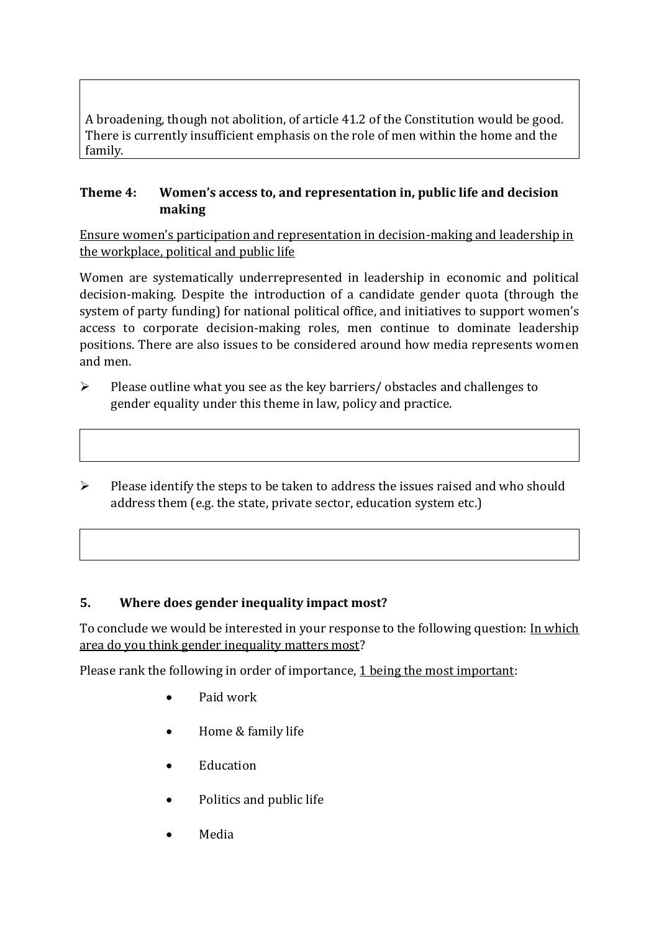A broadening, though not abolition, of article 41.2 of the Constitution would be good. There is currently insufficient emphasis on the role of men within the home and the family.

#### **Theme 4: Women's access to, and representation in, public life and decision making**

Ensure women's participation and representation in decision-making and leadership in the workplace, political and public life

Women are systematically underrepresented in leadership in [economic](https://eige.europa.eu/gender-equality-index/2019/compare-countries/power/2/bar) and [political](https://eige.europa.eu/gender-equality-index/2019/compare-countries/power/1/bar)  [decision-](https://eige.europa.eu/gender-equality-index/2019/compare-countries/power/1/bar)making. Despite the introduction of a candidate gender quota (through the system of party funding) for national political office, and [initiatives](https://betterbalance.ie/) to support women's access to corporate decision-making roles, men continue to dominate leadership positions. There are also issues to be considered around how media represents women and men.

- ➢ Please outline what you see as the key barriers/ obstacles and challenges to gender equality under this theme in law, policy and practice.
- ➢ Please identify the steps to be taken to address the issues raised and who should address them (e.g. the state, private sector, education system etc.)

#### **5. Where does gender inequality impact most?**

To conclude we would be interested in your response to the following question: In which area do you think gender inequality matters most?

Please rank the following in order of importance, 1 being the most important:

- Paid work
- Home & family life
- Education
- Politics and public life
- Media